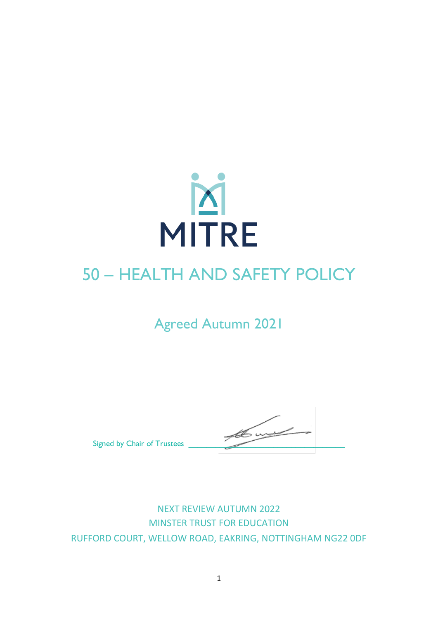

# 50 – HEALTH AND SAFETY POLICY

Agreed Autumn 2021

Signed by Chair of Trustees

NEXT REVIEW AUTUMN 2022 MINSTER TRUST FOR EDUCATION RUFFORD COURT, WELLOW ROAD, EAKRING, NOTTINGHAM NG22 0DF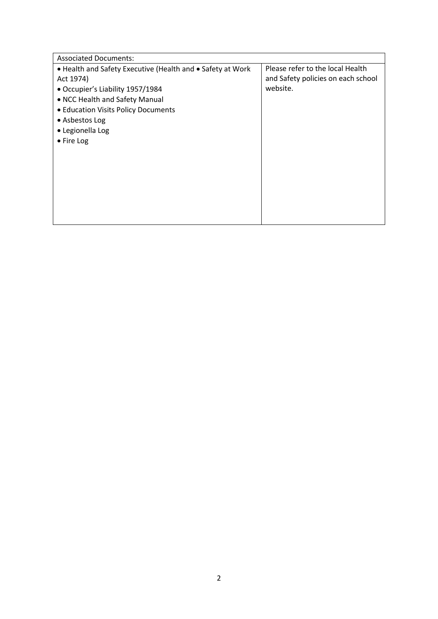| <b>Associated Documents:</b>                               |                                    |
|------------------------------------------------------------|------------------------------------|
| • Health and Safety Executive (Health and • Safety at Work | Please refer to the local Health   |
| Act 1974)                                                  | and Safety policies on each school |
| • Occupier's Liability 1957/1984                           | website.                           |
| • NCC Health and Safety Manual                             |                                    |
| • Education Visits Policy Documents                        |                                    |
| • Asbestos Log                                             |                                    |
| • Legionella Log                                           |                                    |
| • Fire Log                                                 |                                    |
|                                                            |                                    |
|                                                            |                                    |
|                                                            |                                    |
|                                                            |                                    |
|                                                            |                                    |
|                                                            |                                    |
|                                                            |                                    |
|                                                            |                                    |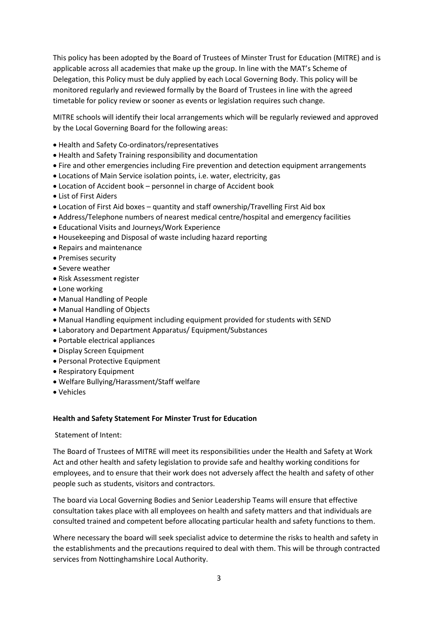This policy has been adopted by the Board of Trustees of Minster Trust for Education (MITRE) and is applicable across all academies that make up the group. In line with the MAT's Scheme of Delegation, this Policy must be duly applied by each Local Governing Body. This policy will be monitored regularly and reviewed formally by the Board of Trustees in line with the agreed timetable for policy review or sooner as events or legislation requires such change.

MITRE schools will identify their local arrangements which will be regularly reviewed and approved by the Local Governing Board for the following areas:

- Health and Safety Co-ordinators/representatives
- Health and Safety Training responsibility and documentation
- Fire and other emergencies including Fire prevention and detection equipment arrangements
- Locations of Main Service isolation points, i.e. water, electricity, gas
- Location of Accident book personnel in charge of Accident book
- List of First Aiders
- Location of First Aid boxes quantity and staff ownership/Travelling First Aid box
- Address/Telephone numbers of nearest medical centre/hospital and emergency facilities
- Educational Visits and Journeys/Work Experience
- Housekeeping and Disposal of waste including hazard reporting
- Repairs and maintenance
- Premises security
- Severe weather
- Risk Assessment register
- Lone working
- Manual Handling of People
- Manual Handling of Objects
- Manual Handling equipment including equipment provided for students with SEND
- Laboratory and Department Apparatus/ Equipment/Substances
- Portable electrical appliances
- Display Screen Equipment
- Personal Protective Equipment
- Respiratory Equipment
- Welfare Bullying/Harassment/Staff welfare
- Vehicles

# **Health and Safety Statement For Minster Trust for Education**

# Statement of Intent:

The Board of Trustees of MITRE will meet its responsibilities under the Health and Safety at Work Act and other health and safety legislation to provide safe and healthy working conditions for employees, and to ensure that their work does not adversely affect the health and safety of other people such as students, visitors and contractors.

The board via Local Governing Bodies and Senior Leadership Teams will ensure that effective consultation takes place with all employees on health and safety matters and that individuals are consulted trained and competent before allocating particular health and safety functions to them.

Where necessary the board will seek specialist advice to determine the risks to health and safety in the establishments and the precautions required to deal with them. This will be through contracted services from Nottinghamshire Local Authority.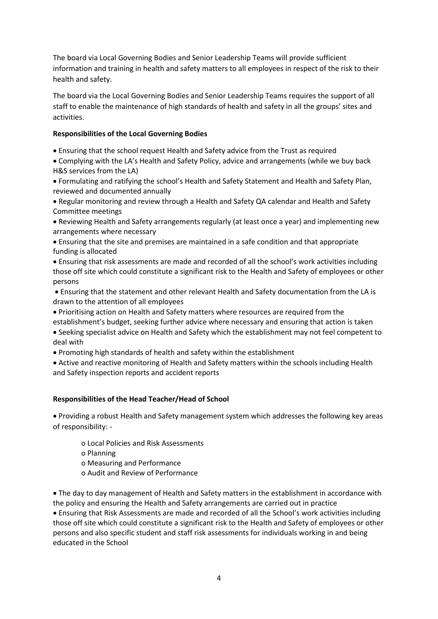The board via Local Governing Bodies and Senior Leadership Teams will provide sufficient information and training in health and safety matters to all employees in respect of the risk to their health and safety.

The board via the Local Governing Bodies and Senior Leadership Teams requires the support of all staff to enable the maintenance of high standards of health and safety in all the groups' sites and activities.

# **Responsibilities of the Local Governing Bodies**

- Ensuring that the school request Health and Safety advice from the Trust as required
- Complying with the LA's Health and Safety Policy, advice and arrangements (while we buy back H&S services from the LA)
- Formulating and ratifying the school's Health and Safety Statement and Health and Safety Plan, reviewed and documented annually
- Regular monitoring and review through a Health and Safety QA calendar and Health and Safety Committee meetings
- Reviewing Health and Safety arrangements regularly (at least once a year) and implementing new arrangements where necessary
- Ensuring that the site and premises are maintained in a safe condition and that appropriate funding is allocated
- Ensuring that risk assessments are made and recorded of all the school's work activities including those off site which could constitute a significant risk to the Health and Safety of employees or other persons
- Ensuring that the statement and other relevant Health and Safety documentation from the LA is drawn to the attention of all employees
- Prioritising action on Health and Safety matters where resources are required from the
- establishment's budget, seeking further advice where necessary and ensuring that action is taken
- Seeking specialist advice on Health and Safety which the establishment may not feel competent to deal with
- Promoting high standards of health and safety within the establishment
- Active and reactive monitoring of Health and Safety matters within the schools including Health and Safety inspection reports and accident reports

# **Responsibilities of the Head Teacher/Head of School**

• Providing a robust Health and Safety management system which addresses the following key areas of responsibility: -

- o Local Policies and Risk Assessments
- o Planning
- o Measuring and Performance
- o Audit and Review of Performance

• The day to day management of Health and Safety matters in the establishment in accordance with the policy and ensuring the Health and Safety arrangements are carried out in practice • Ensuring that Risk Assessments are made and recorded of all the School's work activities including those off site which could constitute a significant risk to the Health and Safety of employees or other persons and also specific student and staff risk assessments for individuals working in and being educated in the School